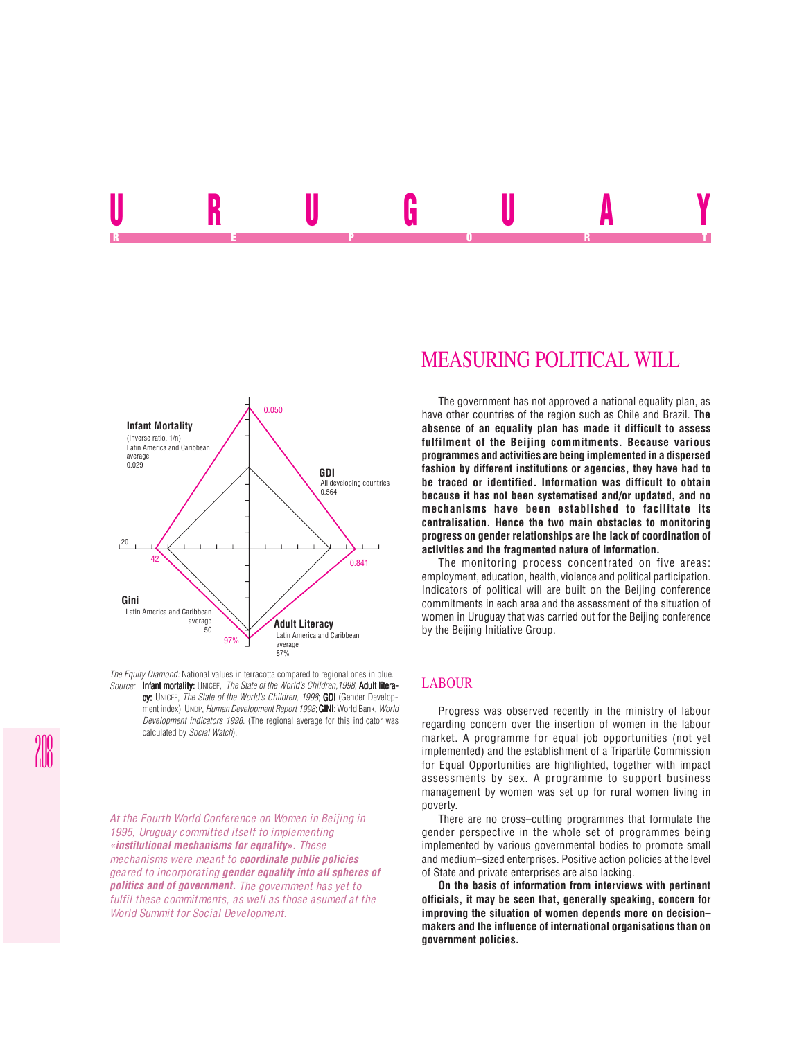# <u>URUU UURU</u> REPORT OF STATE REPORT OF STATE REPORT OF STATE REPORT OF STATE REPORT OF STATE REPORT OF STATE REPORT OF STATE REPORT OF STATE REPORT OF STATE REPORT OF STATE REPORT OF STATE REPORT OF STATE REPORT OF STATE REPORT OF STAT



*The Equity Diamond:* National values in terracotta compared to regional ones in blue. *Source:* Infant mortality: UNICEF, *The State of the World's Children,1998*; Adult litera-

cy: UNICEF, *The State of the World's Children, 1998*; **GDI** (Gender Development index): UNDP, *Human Development Report 1998*; **GINI**: World Bank, *World Development indicators 1998*. (The regional average for this indicator was calculated by *Social Watch*).

*At the Fourth World Conference on Women in Beijing in 1995, Uruguay committed itself to implementing «***institutional mechanisms for equality».** *These mechanisms were meant to* **coordinate public policies** *geared to incorporating* **gender equality into all spheres of politics and of government.** *The government has yet to fulfil these commitments, as well as those asumed at the World Summit for Social Development.*

# MEASURING POLITICAL WILL

The government has not approved a national equality plan, as have other countries of the region such as Chile and Brazil. **The absence of an equality plan has made it difficult to assess fulfilment of the Beijing commitments. Because various programmes and activities are being implemented in a dispersed fashion by different institutions or agencies, they have had to be traced or identified. Information was difficult to obtain because it has not been systematised and/or updated, and no mechanisms have been established to facilitate its centralisation. Hence the two main obstacles to monitoring progress on gender relationships are the lack of coordination of activities and the fragmented nature of information.**

The monitoring process concentrated on five areas: employment, education, health, violence and political participation. Indicators of political will are built on the Beijing conference commitments in each area and the assessment of the situation of women in Uruguay that was carried out for the Beijing conference by the Beijing Initiative Group.

## LABOUR

Progress was observed recently in the ministry of labour regarding concern over the insertion of women in the labour market. A programme for equal job opportunities (not yet implemented) and the establishment of a Tripartite Commission for Equal Opportunities are highlighted, together with impact assessments by sex. A programme to support business management by women was set up for rural women living in poverty.

There are no cross–cutting programmes that formulate the gender perspective in the whole set of programmes being implemented by various governmental bodies to promote small and medium–sized enterprises. Positive action policies at the level of State and private enterprises are also lacking.

**On the basis of information from interviews with pertinent officials, it may be seen that, generally speaking, concern for improving the situation of women depends more on decision– makers and the influence of international organisations than on government policies.**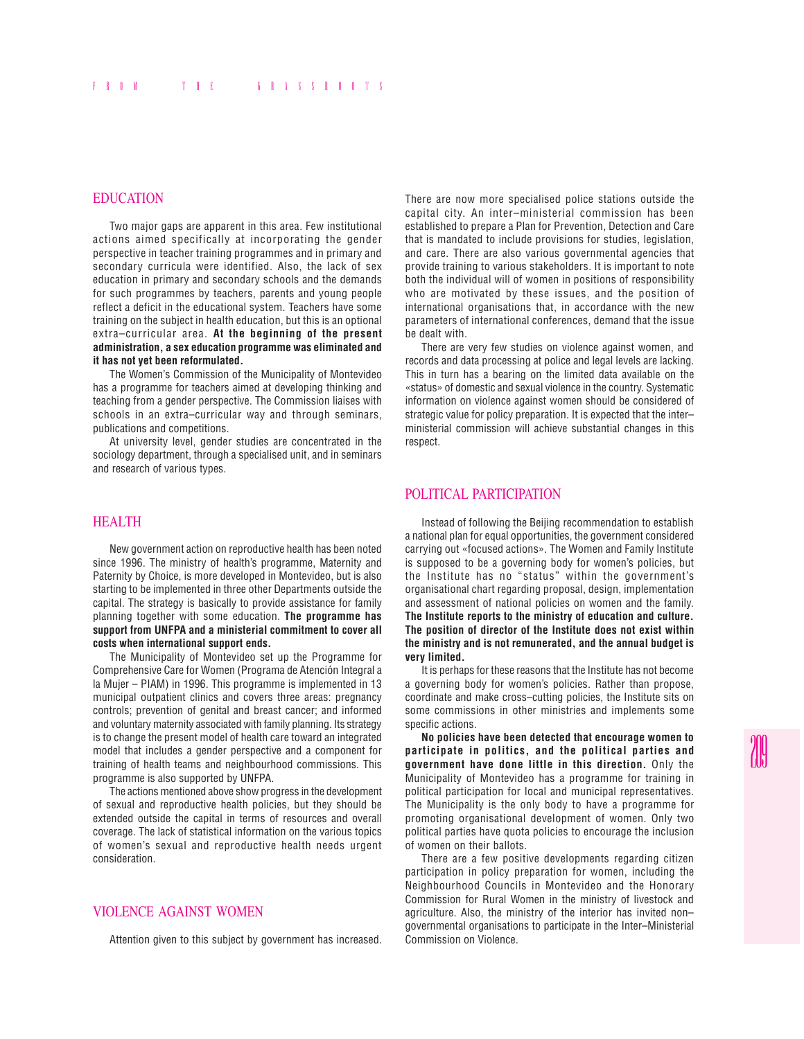## EDUCATION

Two major gaps are apparent in this area. Few institutional actions aimed specifically at incorporating the gender perspective in teacher training programmes and in primary and secondary curricula were identified. Also, the lack of sex education in primary and secondary schools and the demands for such programmes by teachers, parents and young people reflect a deficit in the educational system. Teachers have some training on the subject in health education, but this is an optional extra–curricular area. **At the beginning of the present administration, a sex education programme was eliminated and it has not yet been reformulated.**

The Women's Commission of the Municipality of Montevideo has a programme for teachers aimed at developing thinking and teaching from a gender perspective. The Commission liaises with schools in an extra–curricular way and through seminars, publications and competitions.

At university level, gender studies are concentrated in the sociology department, through a specialised unit, and in seminars and research of various types.

#### HEALTH

New government action on reproductive health has been noted since 1996. The ministry of health's programme, Maternity and Paternity by Choice, is more developed in Montevideo, but is also starting to be implemented in three other Departments outside the capital. The strategy is basically to provide assistance for family planning together with some education. **The programme has support from UNFPA and a ministerial commitment to cover all costs when international support ends.**

The Municipality of Montevideo set up the Programme for Comprehensive Care for Women (Programa de Atención Integral a la Mujer – PIAM) in 1996. This programme is implemented in 13 municipal outpatient clinics and covers three areas: pregnancy controls; prevention of genital and breast cancer; and informed and voluntary maternity associated with family planning. Its strategy is to change the present model of health care toward an integrated model that includes a gender perspective and a component for training of health teams and neighbourhood commissions. This programme is also supported by UNFPA.

The actions mentioned above show progress in the development of sexual and reproductive health policies, but they should be extended outside the capital in terms of resources and overall coverage. The lack of statistical information on the various topics of women's sexual and reproductive health needs urgent consideration.

## VIOLENCE AGAINST WOMEN

Attention given to this subject by government has increased.

There are now more specialised police stations outside the capital city. An inter–ministerial commission has been established to prepare a Plan for Prevention, Detection and Care that is mandated to include provisions for studies, legislation, and care. There are also various governmental agencies that provide training to various stakeholders. It is important to note both the individual will of women in positions of responsibility who are motivated by these issues, and the position of international organisations that, in accordance with the new parameters of international conferences, demand that the issue be dealt with.

There are very few studies on violence against women, and records and data processing at police and legal levels are lacking. This in turn has a bearing on the limited data available on the «status» of domestic and sexual violence in the country. Systematic information on violence against women should be considered of strategic value for policy preparation. It is expected that the inter– ministerial commission will achieve substantial changes in this respect.

#### POLITICAL PARTICIPATION

Instead of following the Beijing recommendation to establish a national plan for equal opportunities, the government considered carrying out «focused actions». The Women and Family Institute is supposed to be a governing body for women's policies, but the Institute has no "status" within the government's organisational chart regarding proposal, design, implementation and assessment of national policies on women and the family. **The Institute reports to the ministry of education and culture. The position of director of the Institute does not exist within the ministry and is not remunerated, and the annual budget is very limited.**

It is perhaps for these reasons that the Institute has not become a governing body for women's policies. Rather than propose, coordinate and make cross–cutting policies, the Institute sits on some commissions in other ministries and implements some specific actions.

**No policies have been detected that encourage women to participate in politics, and the political parties and government have done little in this direction.** Only the Municipality of Montevideo has a programme for training in political participation for local and municipal representatives. The Municipality is the only body to have a programme for promoting organisational development of women. Only two political parties have quota policies to encourage the inclusion of women on their ballots.

There are a few positive developments regarding citizen participation in policy preparation for women, including the Neighbourhood Councils in Montevideo and the Honorary Commission for Rural Women in the ministry of livestock and agriculture. Also, the ministry of the interior has invited non– governmental organisations to participate in the Inter–Ministerial Commission on Violence.